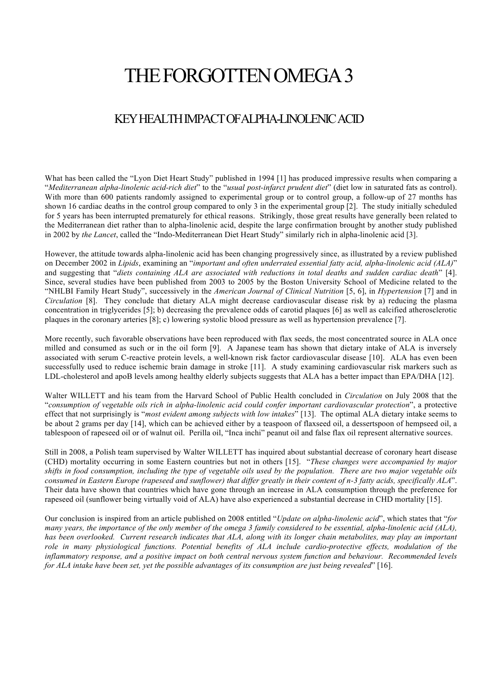## THE FORGOTTEN OMEGA 3

## KEY HEALTH IMPACT OFALPHA-LINOLENIC ACID

What has been called the "Lyon Diet Heart Study" published in 1994 [1] has produced impressive results when comparing a "*Mediterranean alpha-linolenic acid-rich diet*" to the "*usual post-infarct prudent diet*" (diet low in saturated fats as control). With more than 600 patients randomly assigned to experimental group or to control group, a follow-up of 27 months has shown 16 cardiac deaths in the control group compared to only 3 in the experimental group [2]. The study initially scheduled for 5 years has been interrupted prematurely for ethical reasons. Strikingly, those great results have generally been related to the Mediterranean diet rather than to alpha-linolenic acid, despite the large confirmation brought by another study published in 2002 by *the Lancet*, called the "Indo-Mediterranean Diet Heart Study" similarly rich in alpha-linolenic acid [3].

However, the attitude towards alpha-linolenic acid has been changing progressively since, as illustrated by a review published on December 2002 in *Lipids*, examining an "*important and often underrated essential fatty acid, alpha-linolenic acid (ALA)*" and suggesting that "*diets containing ALA are associated with reductions in total deaths and sudden cardiac death*" [4]. Since, several studies have been published from 2003 to 2005 by the Boston University School of Medicine related to the "NHLBI Family Heart Study", successively in the *American Journal of Clinical Nutrition* [5, 6], in *Hypertension* [7] and in *Circulation* [8]. They conclude that dietary ALA might decrease cardiovascular disease risk by a) reducing the plasma concentration in triglycerides [5]; b) decreasing the prevalence odds of carotid plaques [6] as well as calcified atherosclerotic plaques in the coronary arteries [8]; c) lowering systolic blood pressure as well as hypertension prevalence [7].

More recently, such favorable observations have been reproduced with flax seeds, the most concentrated source in ALA once milled and consumed as such or in the oil form [9]. A Japanese team has shown that dietary intake of ALA is inversely associated with serum C-reactive protein levels, a well-known risk factor cardiovascular disease [10]. ALA has even been successfully used to reduce ischemic brain damage in stroke [11]. A study examining cardiovascular risk markers such as LDL-cholesterol and apoB levels among healthy elderly subjects suggests that ALA has a better impact than EPA/DHA [12].

Walter WILLETT and his team from the Harvard School of Public Health concluded in *Circulation* on July 2008 that the "*consumption of vegetable oils rich in alpha-linolenic acid could confer important cardiovascular protection*", a protective effect that not surprisingly is "*most evident among subjects with low intakes*" [13]. The optimal ALA dietary intake seems to be about 2 grams per day [14], which can be achieved either by a teaspoon of flaxseed oil, a dessertspoon of hempseed oil, a tablespoon of rapeseed oil or of walnut oil. Perilla oil, "Inca inchi" peanut oil and false flax oil represent alternative sources.

Still in 2008, a Polish team supervised by Walter WILLETT has inquired about substantial decrease of coronary heart disease (CHD) mortality occurring in some Eastern countries but not in others [15]. "*These changes were accompanied by major shifts in food consumption, including the type of vegetable oils used by the population. There are two major vegetable oils consumed in Eastern Europe (rapeseed and sunflower) that differ greatly in their content of n-3 fatty acids, specifically ALA*". Their data have shown that countries which have gone through an increase in ALA consumption through the preference for rapeseed oil (sunflower being virtually void of ALA) have also experienced a substantial decrease in CHD mortality [15].

Our conclusion is inspired from an article published on 2008 entitled "*Update on alpha-linolenic acid*", which states that "*for many years, the importance of the only member of the omega 3 family considered to be essential, alpha-linolenic acid (ALA), has been overlooked. Current research indicates that ALA, along with its longer chain metabolites, may play an important*  role in many physiological functions. Potential benefits of ALA include cardio-protective effects, modulation of the *inflammatory response, and a positive impact on both central nervous system function and behaviour. Recommended levels for ALA intake have been set, yet the possible advantages of its consumption are just being revealed*" [16].